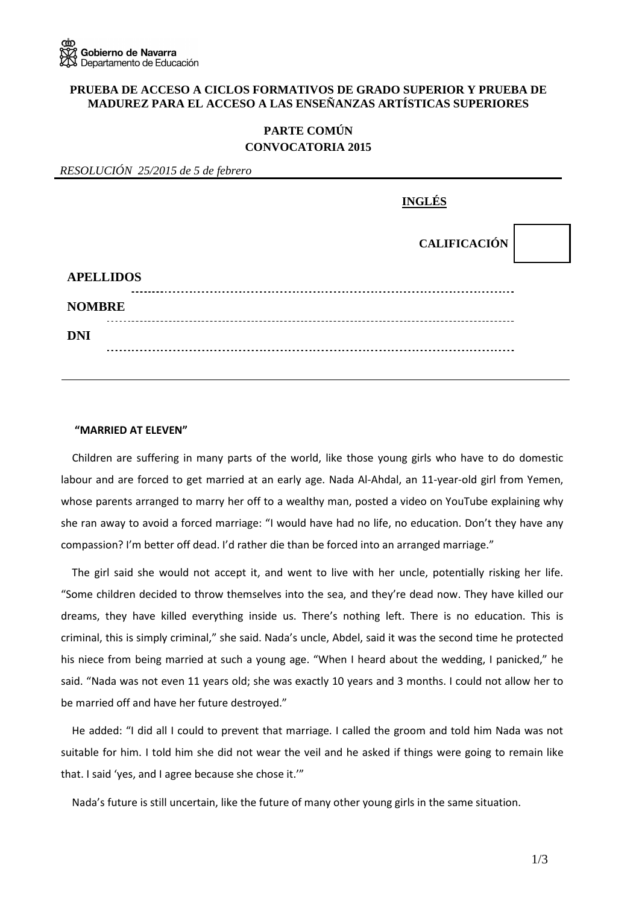#### **PRUEBA DE ACCESO A CICLOS FORMATIVOS DE GRADO SUPERIOR Y PRUEBA DE MADUREZ PARA EL ACCESO A LAS ENSEÑANZAS ARTÍSTICAS SUPERIORES**

# **PARTE COMÚN CONVOCATORIA 2015**

| RESOLUCIÓN 25/2015 de 5 de febrero |                     |
|------------------------------------|---------------------|
|                                    | <b>INGLÉS</b>       |
|                                    | <b>CALIFICACIÓN</b> |
| <b>APELLIDOS</b>                   |                     |
| <b>NOMBRE</b>                      |                     |
| <b>DNI</b>                         |                     |
|                                    |                     |

#### **"MARRIED AT ELEVEN"**

Children are suffering in many parts of the world, like those young girls who have to do domestic labour and are forced to get married at an early age. Nada Al-Ahdal, an 11-year-old girl from Yemen, whose parents arranged to marry her off to a wealthy man, posted a video on YouTube explaining why she ran away to avoid a forced marriage: "I would have had no life, no education. Don't they have any compassion? I'm better off dead. I'd rather die than be forced into an arranged marriage."

The girl said she would not accept it, and went to live with her uncle, potentially risking her life. "Some children decided to throw themselves into the sea, and they're dead now. They have killed our dreams, they have killed everything inside us. There's nothing left. There is no education. This is criminal, this is simply criminal," she said. Nada's uncle, Abdel, said it was the second time he protected his niece from being married at such a young age. "When I heard about the wedding, I panicked," he said. "Nada was not even 11 years old; she was exactly 10 years and 3 months. I could not allow her to be married off and have her future destroyed."

He added: "I did all I could to prevent that marriage. I called the groom and told him Nada was not suitable for him. I told him she did not wear the veil and he asked if things were going to remain like that. I said 'yes, and I agree because she chose it.'"

Nada's future is still uncertain, like the future of many other young girls in the same situation.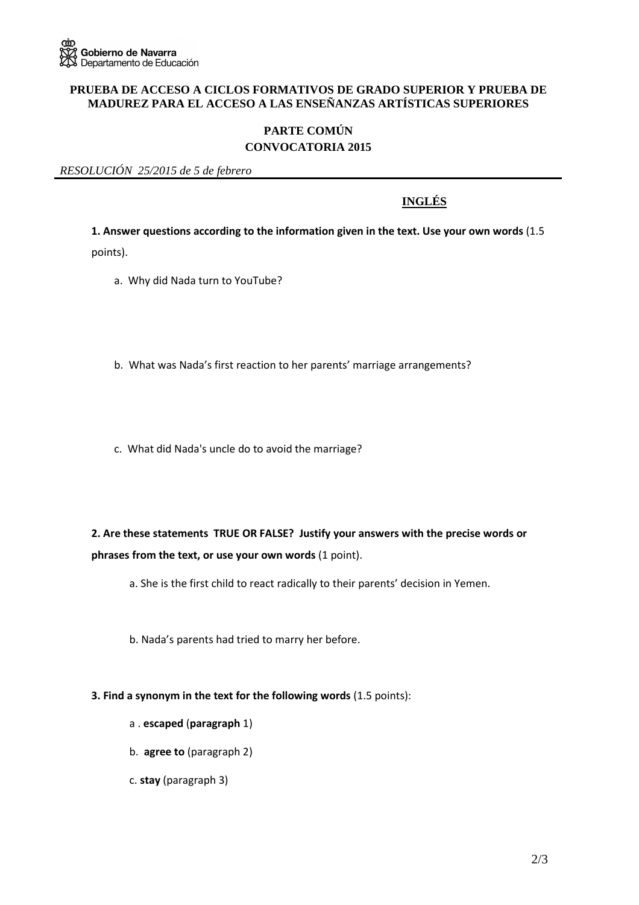### **PRUEBA DE ACCESO A CICLOS FORMATIVOS DE GRADO SUPERIOR Y PRUEBA DE MADUREZ PARA EL ACCESO A LAS ENSEÑANZAS ARTÍSTICAS SUPERIORES**

# **PARTE COMÚN CONVOCATORIA 2015**

*RESOLUCIÓN 25/2015 de 5 de febrero* 

# **INGLÉS**

**1. Answer questions according to the information given in the text. Use your own words** (1.5

points).

- a. Why did Nada turn to YouTube?
- b. What was Nada's first reaction to her parents' marriage arrangements?
- c. What did Nada's uncle do to avoid the marriage?

**2. Are these statements TRUE OR FALSE? Justify your answers with the precise words or phrases from the text, or use your own words** (1 point).

- a. She is the first child to react radically to their parents' decision in Yemen.
- b. Nada's parents had tried to marry her before.
- **3. Find a synonym in the text for the following words** (1.5 points):
	- a . **escaped** (**paragraph** 1)
	- b. **agree to** (paragraph 2)
	- c. **stay** (paragraph 3)